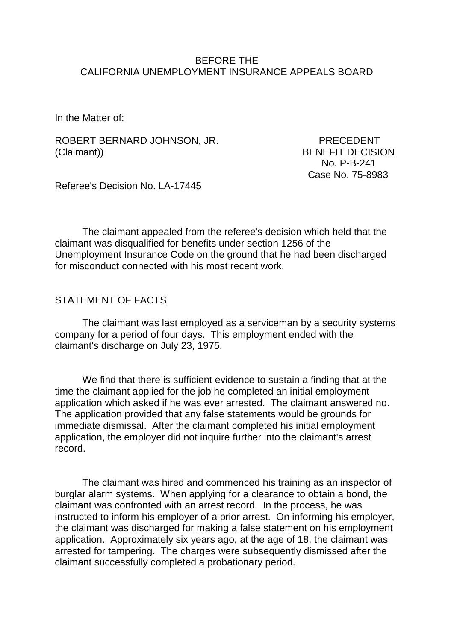#### BEFORE THE CALIFORNIA UNEMPLOYMENT INSURANCE APPEALS BOARD

In the Matter of:

ROBERT BERNARD JOHNSON, JR. PRECEDENT (Claimant)) BENEFIT DECISION

 No. P-B-241 Case No. 75-8983

Referee's Decision No. LA-17445

The claimant appealed from the referee's decision which held that the claimant was disqualified for benefits under section 1256 of the Unemployment Insurance Code on the ground that he had been discharged for misconduct connected with his most recent work.

#### STATEMENT OF FACTS

The claimant was last employed as a serviceman by a security systems company for a period of four days. This employment ended with the claimant's discharge on July 23, 1975.

We find that there is sufficient evidence to sustain a finding that at the time the claimant applied for the job he completed an initial employment application which asked if he was ever arrested. The claimant answered no. The application provided that any false statements would be grounds for immediate dismissal. After the claimant completed his initial employment application, the employer did not inquire further into the claimant's arrest record.

The claimant was hired and commenced his training as an inspector of burglar alarm systems. When applying for a clearance to obtain a bond, the claimant was confronted with an arrest record. In the process, he was instructed to inform his employer of a prior arrest. On informing his employer, the claimant was discharged for making a false statement on his employment application. Approximately six years ago, at the age of 18, the claimant was arrested for tampering. The charges were subsequently dismissed after the claimant successfully completed a probationary period.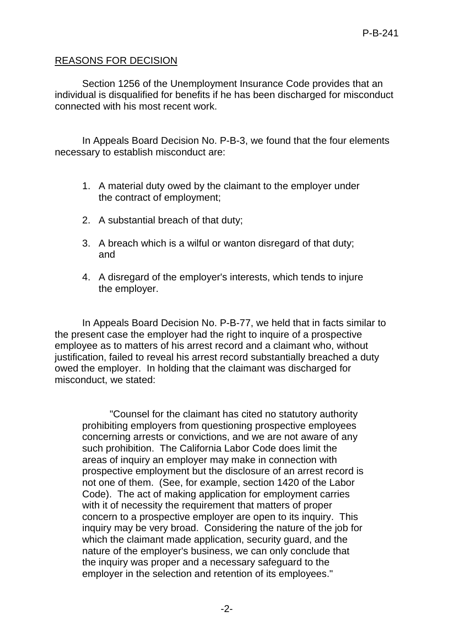# REASONS FOR DECISION

Section 1256 of the Unemployment Insurance Code provides that an individual is disqualified for benefits if he has been discharged for misconduct connected with his most recent work.

In Appeals Board Decision No. P-B-3, we found that the four elements necessary to establish misconduct are:

- 1. A material duty owed by the claimant to the employer under the contract of employment;
- 2. A substantial breach of that duty;
- 3. A breach which is a wilful or wanton disregard of that duty; and
- 4. A disregard of the employer's interests, which tends to injure the employer.

In Appeals Board Decision No. P-B-77, we held that in facts similar to the present case the employer had the right to inquire of a prospective employee as to matters of his arrest record and a claimant who, without justification, failed to reveal his arrest record substantially breached a duty owed the employer. In holding that the claimant was discharged for misconduct, we stated:

"Counsel for the claimant has cited no statutory authority prohibiting employers from questioning prospective employees concerning arrests or convictions, and we are not aware of any such prohibition. The California Labor Code does limit the areas of inquiry an employer may make in connection with prospective employment but the disclosure of an arrest record is not one of them. (See, for example, section 1420 of the Labor Code). The act of making application for employment carries with it of necessity the requirement that matters of proper concern to a prospective employer are open to its inquiry. This inquiry may be very broad. Considering the nature of the job for which the claimant made application, security guard, and the nature of the employer's business, we can only conclude that the inquiry was proper and a necessary safeguard to the employer in the selection and retention of its employees."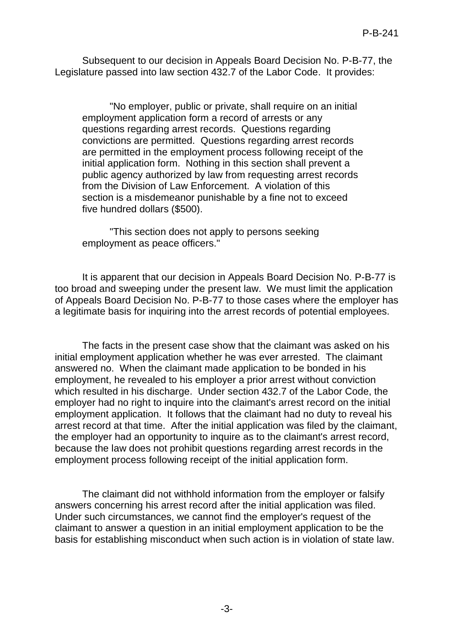Subsequent to our decision in Appeals Board Decision No. P-B-77, the Legislature passed into law section 432.7 of the Labor Code. It provides:

"No employer, public or private, shall require on an initial employment application form a record of arrests or any questions regarding arrest records. Questions regarding convictions are permitted. Questions regarding arrest records are permitted in the employment process following receipt of the initial application form. Nothing in this section shall prevent a public agency authorized by law from requesting arrest records from the Division of Law Enforcement. A violation of this section is a misdemeanor punishable by a fine not to exceed five hundred dollars (\$500).

"This section does not apply to persons seeking employment as peace officers."

It is apparent that our decision in Appeals Board Decision No. P-B-77 is too broad and sweeping under the present law. We must limit the application of Appeals Board Decision No. P-B-77 to those cases where the employer has a legitimate basis for inquiring into the arrest records of potential employees.

The facts in the present case show that the claimant was asked on his initial employment application whether he was ever arrested. The claimant answered no. When the claimant made application to be bonded in his employment, he revealed to his employer a prior arrest without conviction which resulted in his discharge. Under section 432.7 of the Labor Code, the employer had no right to inquire into the claimant's arrest record on the initial employment application. It follows that the claimant had no duty to reveal his arrest record at that time. After the initial application was filed by the claimant, the employer had an opportunity to inquire as to the claimant's arrest record, because the law does not prohibit questions regarding arrest records in the employment process following receipt of the initial application form.

The claimant did not withhold information from the employer or falsify answers concerning his arrest record after the initial application was filed. Under such circumstances, we cannot find the employer's request of the claimant to answer a question in an initial employment application to be the basis for establishing misconduct when such action is in violation of state law.